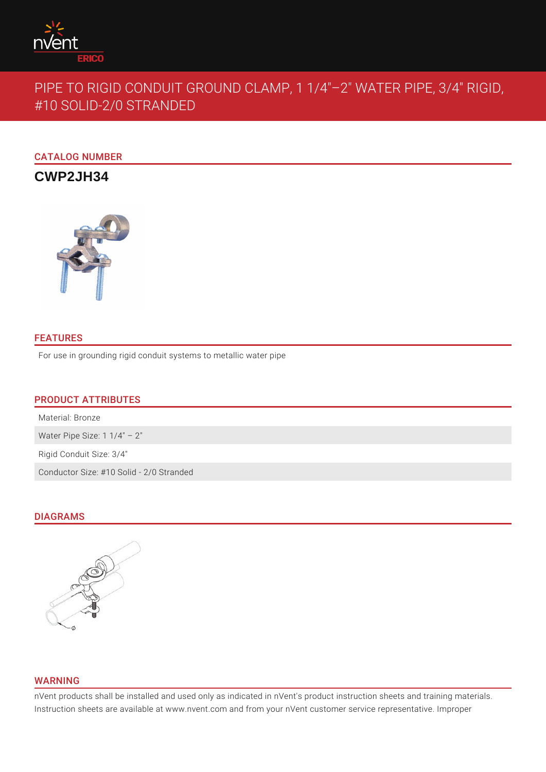

# PIPE TO RIGID CONDUIT GROUND CLAMP, 1 1/4"–2" WATER PIPE, 3/4" RIGID, #10 SOLID-2/0 STRANDED

CATALOG NUMBER

**CWP2JH34**



## FEATURES

For use in grounding rigid conduit systems to metallic water pipe

## PRODUCT ATTRIBUTES

Material: Bronze

Water Pipe Size: 1 1/4" - 2"

Rigid Conduit Size: 3/4"

Conductor Size: #10 Solid - 2/0 Stranded

## DIAGRAMS



### WARNING

nVent products shall be installed and used only as indicated in nVent's product instruction sheets and training materials. Instruction sheets are available at www.nvent.com and from your nVent customer service representative. Improper